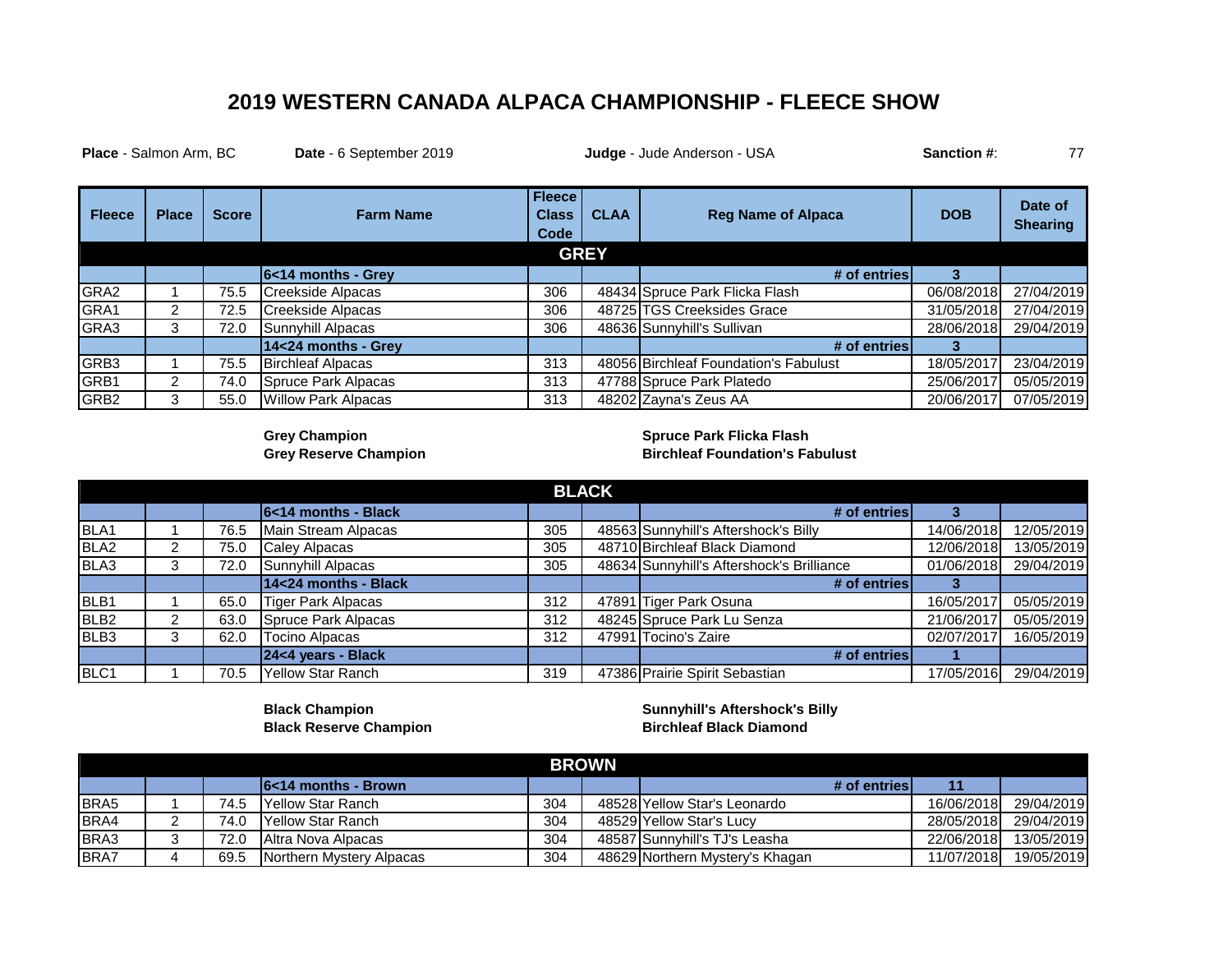## **2019 WESTERN CANADA ALPACA CHAMPIONSHIP - FLEECE SHOW**

| <b>Place - Salmon Arm, BC</b><br>Date - 6 September 2019 |                |              | Judge - Jude Anderson - USA | Sanction #:                           | 77          |                                       |            |                            |
|----------------------------------------------------------|----------------|--------------|-----------------------------|---------------------------------------|-------------|---------------------------------------|------------|----------------------------|
| <b>Fleece</b>                                            | <b>Place</b>   | <b>Score</b> | <b>Farm Name</b>            | <b>Fleece</b><br><b>Class</b><br>Code | <b>CLAA</b> | <b>Reg Name of Alpaca</b>             | <b>DOB</b> | Date of<br><b>Shearing</b> |
|                                                          |                |              |                             |                                       | <b>GREY</b> |                                       |            |                            |
|                                                          |                |              | 6<14 months - Grey          |                                       |             | # of entries                          | 3          |                            |
| GRA2                                                     |                | 75.5         | Creekside Alpacas           | 306                                   |             | 48434 Spruce Park Flicka Flash        | 06/08/2018 | 27/04/2019                 |
| GRA1                                                     | $\overline{2}$ | 72.5         | Creekside Alpacas           | 306                                   |             | 48725 TGS Creeksides Grace            | 31/05/2018 | 27/04/2019                 |
| GRA3                                                     | 3              | 72.0         | Sunnyhill Alpacas           | 306                                   |             | 48636 Sunnyhill's Sullivan            | 28/06/2018 | 29/04/2019                 |
|                                                          |                |              | 14<24 months - Grey         |                                       |             | # of entries                          | з          |                            |
| GRB3                                                     |                | 75.5         | <b>Birchleaf Alpacas</b>    | 313                                   |             | 48056 Birchleaf Foundation's Fabulust | 18/05/2017 | 23/04/2019                 |
| GRB1                                                     | $\mathcal{P}$  | 74.0         | Spruce Park Alpacas         | 313                                   |             | 47788 Spruce Park Platedo             | 25/06/2017 | 05/05/2019                 |
| GRB <sub>2</sub>                                         | 3              | 55.0         | Willow Park Alpacas         | 313                                   |             | 48202 Zayna's Zeus AA                 | 20/06/2017 | 07/05/2019                 |

**Grey Champion Spruce Park Flicka Flash Grey Reserve Champion Birchleaf Foundation's Fabulust** 

| <b>BLACK</b>     |   |      |                             |     |  |                                           |            |            |
|------------------|---|------|-----------------------------|-----|--|-------------------------------------------|------------|------------|
|                  |   |      | <b>6</b> <14 months - Black |     |  | # of entries                              |            |            |
| BLA1             |   | 76.5 | Main Stream Alpacas         | 305 |  | 48563 Sunnyhill's Aftershock's Billy      | 14/06/2018 | 12/05/2019 |
| BLA <sub>2</sub> |   | 75.0 | Caley Alpacas               | 305 |  | 48710 Birchleaf Black Diamond             | 12/06/2018 | 3/05/2019  |
| BLA3             | з | 72.0 | Sunnyhill Alpacas           | 305 |  | 48634 Sunnyhill's Aftershock's Brilliance | 01/06/2018 | 29/04/2019 |
|                  |   |      | 14<24 months - Black        |     |  | # of entries                              |            |            |
| BLB1             |   | 65.0 | Tiger Park Alpacas          | 312 |  | 47891 Tiger Park Osuna                    | 16/05/2017 | 05/05/2019 |
| BLB <sub>2</sub> |   | 63.0 | Spruce Park Alpacas         | 312 |  | 48245 Spruce Park Lu Senza                | 21/06/2017 | 05/05/2019 |
| BLB <sub>3</sub> | っ | 62.0 | <b>Tocino Alpacas</b>       | 312 |  | 47991 Tocino's Zaire                      | 02/07/2017 | 16/05/2019 |
|                  |   |      | 24<4 years - Black          |     |  | # of entries                              |            |            |
| BLC1             |   | 70.5 | Yellow Star Ranch           | 319 |  | 47386 Prairie Spirit Sebastian            | 17/05/2016 | 29/04/2019 |

**Black Champion Sunnyhill's Aftershock's Billy Black Reserve Champion Birchleaf Black Diamond** 

|      | <b>BROWN</b> |      |                                 |     |  |                                 |            |            |  |  |
|------|--------------|------|---------------------------------|-----|--|---------------------------------|------------|------------|--|--|
|      |              |      | $16<14$ months - Brown          |     |  | # of entries                    |            |            |  |  |
| BRA5 |              | 74.5 | <b>IYellow Star Ranch</b>       | 304 |  | 48528 Yellow Star's Leonardo    | 16/06/2018 | 29/04/2019 |  |  |
| BRA4 |              | 74.0 | <b>IYellow Star Ranch</b>       | 304 |  | 48529 Yellow Star's Lucy        | 28/05/2018 | 29/04/2019 |  |  |
| BRA3 |              | 72.0 | Altra Nova Alpacas              | 304 |  | 48587 Sunnyhill's TJ's Leasha   | 22/06/2018 | 13/05/2019 |  |  |
| BRA7 |              | 69.5 | <b>Northern Mystery Alpacas</b> | 304 |  | 48629 Northern Mystery's Khagan | 11/07/2018 | 19/05/2019 |  |  |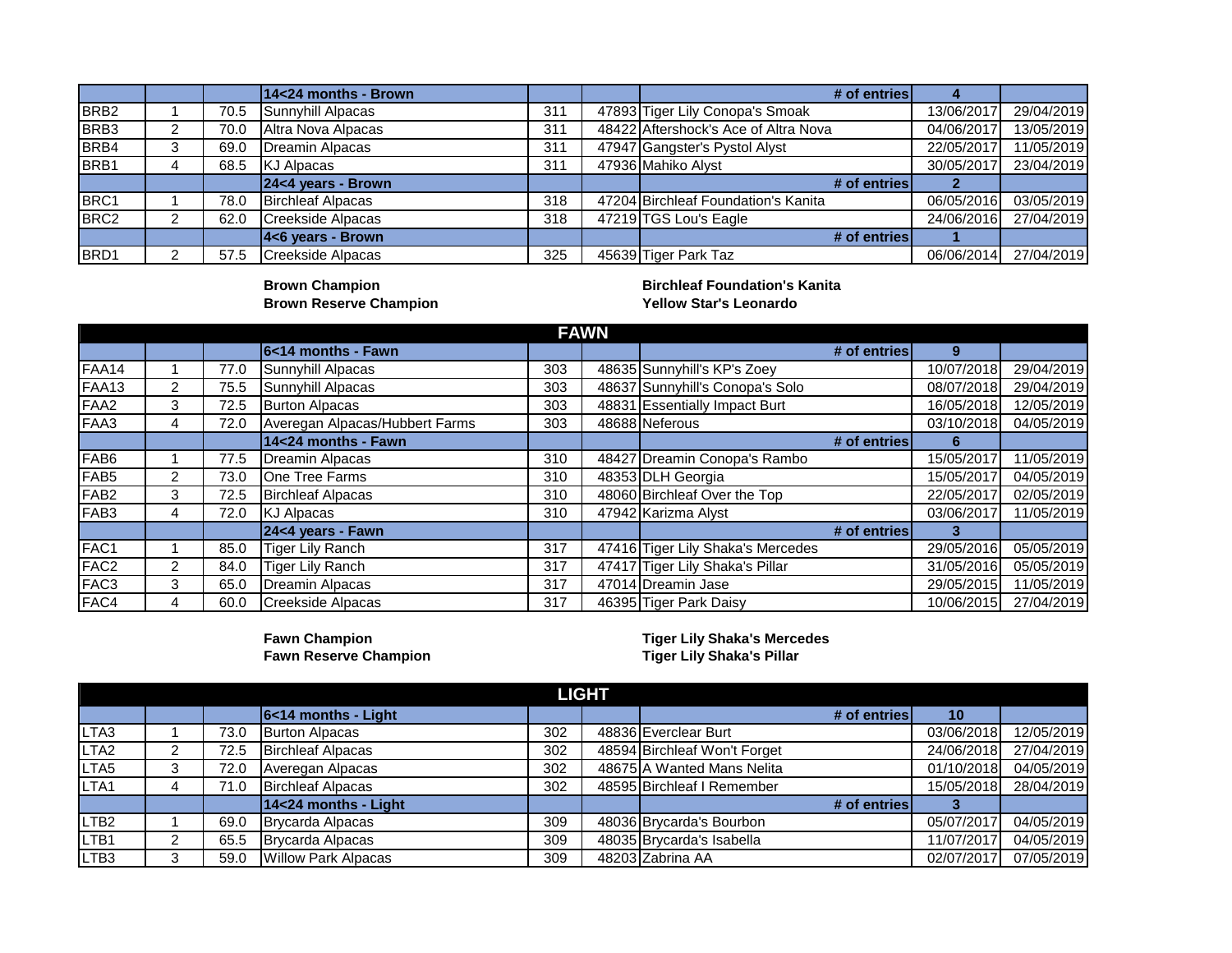|                  |   |      | 14<24 months - Brown     |     | # of entries                         |            |            |
|------------------|---|------|--------------------------|-----|--------------------------------------|------------|------------|
| BRB <sub>2</sub> |   | 70.5 | Sunnyhill Alpacas        | 311 | 47893 Tiger Lily Conopa's Smoak      | 13/06/2017 | 29/04/2019 |
| BRB <sub>3</sub> | າ | 70.0 | Altra Nova Alpacas       | 311 | 48422 Aftershock's Ace of Altra Nova | 04/06/2017 | 13/05/2019 |
| BRB4             | З | 69.0 | Dreamin Alpacas          | 311 | 47947 Gangster's Pystol Alyst        | 22/05/2017 | 11/05/2019 |
| BRB1             |   | 68.5 | KJ Alpacas               | 311 | 47936 Mahiko Alyst                   | 30/05/2017 | 23/04/2019 |
|                  |   |      | $24<4$ years - Brown     |     | # of entries                         |            |            |
| BRC1             |   | 78.0 | <b>Birchleaf Alpacas</b> | 318 | 47204 Birchleaf Foundation's Kanita  | 06/05/2016 | 03/05/2019 |
| BRC <sub>2</sub> |   | 62.0 | Creekside Alpacas        | 318 | 47219 TGS Lou's Eagle                | 24/06/2016 | 27/04/2019 |
|                  |   |      | $ 46$ years - Brown      |     | # of entries                         |            |            |
| BRD1             |   | 57.5 | Creekside Alpacas        | 325 | 45639 Tiger Park Taz                 | 06/06/2014 | 27/04/2019 |

**Brown Champion<br>Brown Reserve Champion** 

**Birchleaf Foundation's Kanita<br>Yellow Star's Leonardo** 

|                  | <b>FAWN</b> |      |                                |     |  |                                   |            |            |  |  |  |
|------------------|-------------|------|--------------------------------|-----|--|-----------------------------------|------------|------------|--|--|--|
|                  |             |      | 6<14 months - Fawn             |     |  | # of entries                      | 9          |            |  |  |  |
| FAA14            |             | 77.0 | Sunnyhill Alpacas              | 303 |  | 48635 Sunnyhill's KP's Zoey       | 10/07/2018 | 29/04/2019 |  |  |  |
| <b>FAA13</b>     | 2           | 75.5 | Sunnyhill Alpacas              | 303 |  | 48637 Sunnyhill's Conopa's Solo   | 08/07/2018 | 29/04/2019 |  |  |  |
| FAA <sub>2</sub> | 3           | 72.5 | <b>Burton Alpacas</b>          | 303 |  | 48831 Essentially Impact Burt     | 16/05/2018 | 12/05/2019 |  |  |  |
| FAA3             | 4           | 72.0 | Averegan Alpacas/Hubbert Farms | 303 |  | 48688 Neferous                    | 03/10/2018 | 04/05/2019 |  |  |  |
|                  |             |      | 14<24 months - Fawn            |     |  | # of entries                      | 6          |            |  |  |  |
| FAB <sub>6</sub> |             | 77.5 | Dreamin Alpacas                | 310 |  | 48427 Dreamin Conopa's Rambo      | 15/05/2017 | 11/05/2019 |  |  |  |
| FAB <sub>5</sub> | 2           | 73.0 | <b>IOne Tree Farms</b>         | 310 |  | 48353 DLH Georgia                 | 15/05/2017 | 04/05/2019 |  |  |  |
| FAB <sub>2</sub> | 3           | 72.5 | <b>Birchleaf Alpacas</b>       | 310 |  | 48060 Birchleaf Over the Top      | 22/05/2017 | 02/05/2019 |  |  |  |
| FAB <sub>3</sub> | 4           | 72.0 | <b>KJ Alpacas</b>              | 310 |  | 47942 Karizma Alyst               | 03/06/2017 | 11/05/2019 |  |  |  |
|                  |             |      | 24<4 years - Fawn              |     |  | # of entries                      |            |            |  |  |  |
| FAC1             |             | 85.0 | Tiger Lily Ranch               | 317 |  | 47416 Tiger Lily Shaka's Mercedes | 29/05/2016 | 05/05/2019 |  |  |  |
| FAC <sub>2</sub> | 2           | 84.0 | Tiger Lily Ranch               | 317 |  | 47417 Tiger Lily Shaka's Pillar   | 31/05/2016 | 05/05/2019 |  |  |  |
| FAC <sub>3</sub> | 3           | 65.0 | Dreamin Alpacas                | 317 |  | 47014 Dreamin Jase                | 29/05/2015 | 11/05/2019 |  |  |  |
| FAC4             | 4           | 60.0 | Creekside Alpacas              | 317 |  | 46395 Tiger Park Daisy            | 10/06/2015 | 27/04/2019 |  |  |  |

**Fawn Reserve Champion** 

**Fawn Champion Tiger Lily Shaka's Mercedes**

|                  |   |      |                            |     | <b>LIGHT</b> |                              |            |            |
|------------------|---|------|----------------------------|-----|--------------|------------------------------|------------|------------|
|                  |   |      | 6<14 months - Light        |     |              | # of entries                 | 10         |            |
| LTA <sub>3</sub> |   | 73.0 | <b>Burton Alpacas</b>      | 302 |              | 48836 Everclear Burt         | 03/06/2018 | 12/05/2019 |
| LTA <sub>2</sub> | ົ | 72.5 | <b>Birchleaf Alpacas</b>   | 302 |              | 48594 Birchleaf Won't Forget | 24/06/2018 | 27/04/2019 |
| LTA <sub>5</sub> | 3 | 72.0 | Averegan Alpacas           | 302 |              | 48675 A Wanted Mans Nelita   | 01/10/2018 | 04/05/2019 |
| LTA <sub>1</sub> |   | 71.0 | <b>Birchleaf Alpacas</b>   | 302 |              | 48595 Birchleaf I Remember   | 15/05/2018 | 28/04/2019 |
|                  |   |      | $1424$ months - Light      |     |              | # of entries                 |            |            |
| LTB <sub>2</sub> |   | 69.0 | Brycarda Alpacas           | 309 |              | 48036 Brycarda's Bourbon     | 05/07/2017 | 04/05/2019 |
| LTB <sub>1</sub> | ົ | 65.5 | Brycarda Alpacas           | 309 |              | 48035 Brycarda's Isabella    | 11/07/2017 | 04/05/2019 |
| LTB <sub>3</sub> | 3 | 59.0 | <b>Willow Park Alpacas</b> | 309 |              | 48203 Zabrina AA             | 02/07/2017 | 07/05/2019 |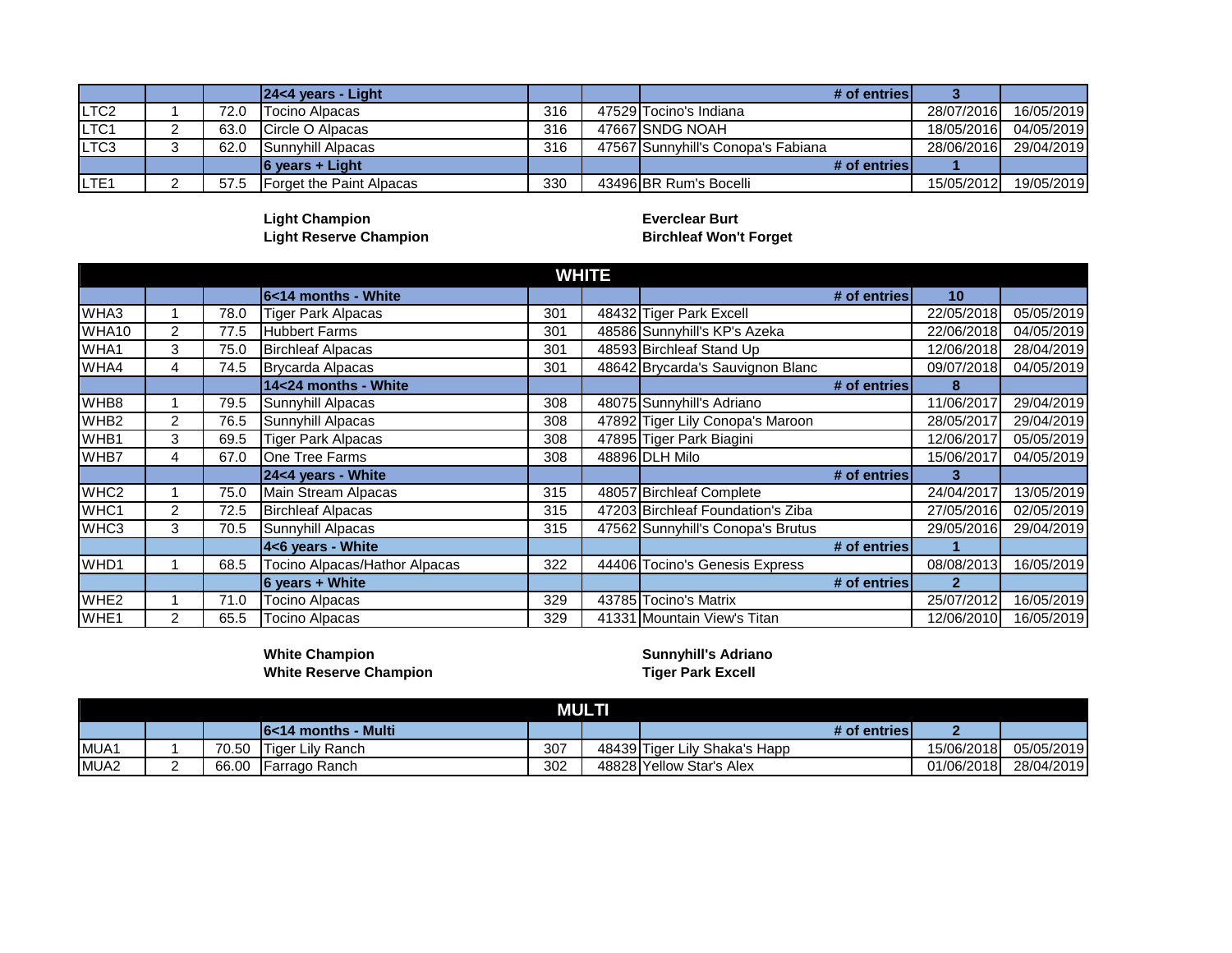|                   |      | $ 24<4$ years - Light    |     | # of entries                       |            |            |
|-------------------|------|--------------------------|-----|------------------------------------|------------|------------|
| LTC <sub>2</sub>  | 72.0 | <b>Tocino Alpacas</b>    | 316 | 47529 Tocino's Indiana             | 28/07/2016 | 16/05/2019 |
| LTC <sub>1</sub>  | 63.0 | <b>ICircle O Alpacas</b> | 316 | 47667 SNDG NOAH                    | 18/05/2016 | 04/05/2019 |
| ILTC <sub>3</sub> | 62.0 | <b>Sunnyhill Alpacas</b> | 316 | 47567 Sunnyhill's Conopa's Fabiana | 28/06/2016 | 29/04/2019 |
|                   |      | 6 years + Light          |     | # of entries                       |            |            |
| ILTE <sub>1</sub> | 57.5 | Forget the Paint Alpacas | 330 | 43496 BR Rum's Bocelli             | 15/05/2012 | 19/05/2019 |

**Light Champion Everclear Burt Light Reserve Champion Birchleaf Won't Forget**

|                  |                |      |                               |     | <b>WHITE</b> |                                   |            |            |
|------------------|----------------|------|-------------------------------|-----|--------------|-----------------------------------|------------|------------|
|                  |                |      | 6<14 months - White           |     |              | # of entries                      | 10         |            |
| WHA3             |                | 78.0 | <b>Tiger Park Alpacas</b>     | 301 |              | 48432 Tiger Park Excell           | 22/05/2018 | 05/05/2019 |
| WHA10            | 2              | 77.5 | <b>Hubbert Farms</b>          | 301 |              | 48586 Sunnyhill's KP's Azeka      | 22/06/2018 | 04/05/2019 |
| WHA1             | 3              | 75.0 | <b>Birchleaf Alpacas</b>      | 301 |              | 48593 Birchleaf Stand Up          | 12/06/2018 | 28/04/2019 |
| WHA4             | 4              | 74.5 | Brycarda Alpacas              | 301 |              | 48642 Brycarda's Sauvignon Blanc  | 09/07/2018 | 04/05/2019 |
|                  |                |      | 14<24 months - White          |     |              | # of entries                      | 8          |            |
| WHB8             |                | 79.5 | Sunnyhill Alpacas             | 308 |              | 48075 Sunnyhill's Adriano         | 11/06/2017 | 29/04/2019 |
| WHB <sub>2</sub> | 2              | 76.5 | Sunnyhill Alpacas             | 308 |              | 47892 Tiger Lily Conopa's Maroon  | 28/05/2017 | 29/04/2019 |
| WHB1             | 3              | 69.5 | Tiger Park Alpacas            | 308 |              | 47895 Tiger Park Biagini          | 12/06/2017 | 05/05/2019 |
| WHB7             | 4              | 67.0 | One Tree Farms                | 308 |              | 48896 DLH Milo                    | 15/06/2017 | 04/05/2019 |
|                  |                |      | 24<4 years - White            |     |              | # of entries                      |            |            |
| WHC <sub>2</sub> |                | 75.0 | Main Stream Alpacas           | 315 |              | 48057 Birchleaf Complete          | 24/04/2017 | 13/05/2019 |
| WHC1             | 2              | 72.5 | <b>Birchleaf Alpacas</b>      | 315 |              | 47203 Birchleaf Foundation's Ziba | 27/05/2016 | 02/05/2019 |
| WHC <sub>3</sub> | 3              | 70.5 | Sunnyhill Alpacas             | 315 |              | 47562 Sunnyhill's Conopa's Brutus | 29/05/2016 | 29/04/2019 |
|                  |                |      | 4<6 years - White             |     |              | # of entries                      |            |            |
| WHD1             |                | 68.5 | Tocino Alpacas/Hathor Alpacas | 322 |              | 44406 Tocino's Genesis Express    | 08/08/2013 | 16/05/2019 |
|                  |                |      | $6$ years + White             |     |              | # of entries                      |            |            |
| WHE <sub>2</sub> |                | 71.0 | <b>Tocino Alpacas</b>         | 329 |              | 43785 Tocino's Matrix             | 25/07/2012 | 16/05/2019 |
| WHE1             | $\overline{2}$ | 65.5 | <b>Tocino Alpacas</b>         | 329 |              | 41331 Mountain View's Titan       | 12/06/2010 | 16/05/2019 |

**White Champion Sunnyhill's Adriano White Reserve Champion Tiger Park Excell**

|                  |       |                                 |     | <b>MULTI</b> |                               |            |            |
|------------------|-------|---------------------------------|-----|--------------|-------------------------------|------------|------------|
|                  |       | <u> 16&lt;14 months - Multi</u> |     |              | # of entries                  |            |            |
| MUA1             | 70.50 | Tiger Lily Ranch                | 307 |              | 48439 Tiger Lily Shaka's Happ | 15/06/2018 | 05/05/2019 |
| MUA <sub>2</sub> | 66.00 | <b>IFarrago Ranch</b>           | 302 |              | 48828 Yellow Star's Alex      | 01/06/2018 | 28/04/2019 |